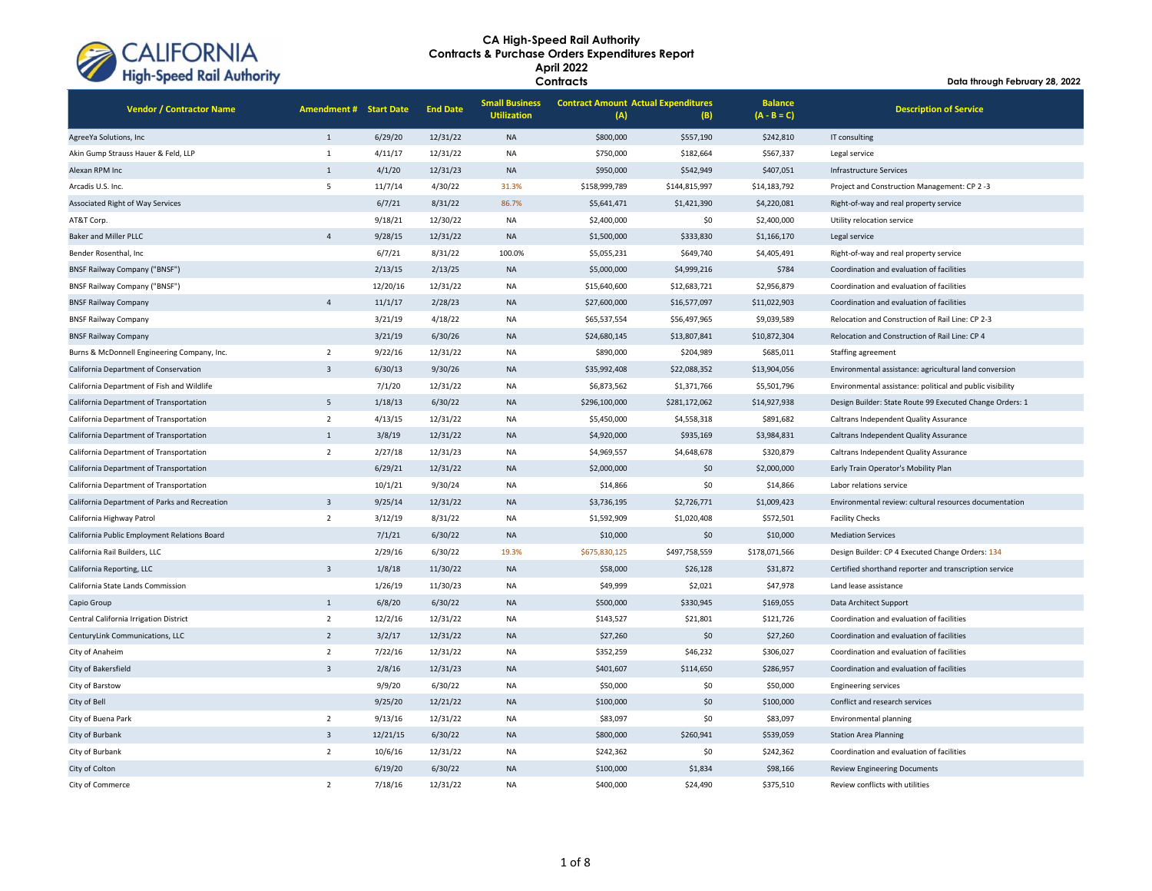

| <b>Vendor / Contractor Name</b>               | <b>Amendment # Start Date</b> |          | <b>End Date</b> | <b>Small Business</b><br><b>Utilization</b> | <b>Contract Amount Actual Expenditures</b><br>(A) | (B)           | <b>Balance</b><br>$(A - B = C)$ | <b>Description of Service</b>                             |
|-----------------------------------------------|-------------------------------|----------|-----------------|---------------------------------------------|---------------------------------------------------|---------------|---------------------------------|-----------------------------------------------------------|
| AgreeYa Solutions, Inc                        | $\mathbf{1}$                  | 6/29/20  | 12/31/22        | <b>NA</b>                                   | \$800,000                                         | \$557,190     | \$242,810                       | IT consulting                                             |
| Akin Gump Strauss Hauer & Feld, LLP           | 1                             | 4/11/17  | 12/31/22        | <b>NA</b>                                   | \$750,000                                         | \$182,664     | \$567,337                       | Legal service                                             |
| Alexan RPM Inc                                | $\mathbf{1}$                  | 4/1/20   | 12/31/23        | <b>NA</b>                                   | \$950,000                                         | \$542,949     | \$407,051                       | <b>Infrastructure Services</b>                            |
| Arcadis U.S. Inc.                             | 5                             | 11/7/14  | 4/30/22         | 31.3%                                       | \$158,999,789                                     | \$144,815,997 | \$14,183,792                    | Project and Construction Management: CP 2-3               |
| Associated Right of Way Services              |                               | 6/7/21   | 8/31/22         | 86.7%                                       | \$5,641,471                                       | \$1,421,390   | \$4,220,081                     | Right-of-way and real property service                    |
| AT&T Corp.                                    |                               | 9/18/21  | 12/30/22        | <b>NA</b>                                   | \$2,400,000                                       | \$0           | \$2,400,000                     | Utility relocation service                                |
| <b>Baker and Miller PLLC</b>                  | $\overline{4}$                | 9/28/15  | 12/31/22        | <b>NA</b>                                   | \$1,500,000                                       | \$333,830     | \$1,166,170                     | Legal service                                             |
| Bender Rosenthal, Inc                         |                               | 6/7/21   | 8/31/22         | 100.0%                                      | \$5,055,231                                       | \$649,740     | \$4,405,491                     | Right-of-way and real property service                    |
| <b>BNSF Railway Company ("BNSF")</b>          |                               | 2/13/15  | 2/13/25         | <b>NA</b>                                   | \$5,000,000                                       | \$4,999,216   | \$784                           | Coordination and evaluation of facilities                 |
| <b>BNSF Railway Company ("BNSF")</b>          |                               | 12/20/16 | 12/31/22        | <b>NA</b>                                   | \$15,640,600                                      | \$12,683,721  | \$2,956,879                     | Coordination and evaluation of facilities                 |
| <b>BNSF Railway Company</b>                   | $\overline{4}$                | 11/1/17  | 2/28/23         | <b>NA</b>                                   | \$27,600,000                                      | \$16,577,097  | \$11,022,903                    | Coordination and evaluation of facilities                 |
| <b>BNSF Railway Company</b>                   |                               | 3/21/19  | 4/18/22         | <b>NA</b>                                   | \$65,537,554                                      | \$56,497,965  | \$9,039,589                     | Relocation and Construction of Rail Line: CP 2-3          |
| <b>BNSF Railway Company</b>                   |                               | 3/21/19  | 6/30/26         | <b>NA</b>                                   | \$24,680,145                                      | \$13,807,841  | \$10,872,304                    | Relocation and Construction of Rail Line: CP 4            |
| Burns & McDonnell Engineering Company, Inc.   | $\overline{2}$                | 9/22/16  | 12/31/22        | NA                                          | \$890,000                                         | \$204,989     | \$685,011                       | Staffing agreement                                        |
| California Department of Conservation         | $\overline{3}$                | 6/30/13  | 9/30/26         | <b>NA</b>                                   | \$35,992,408                                      | \$22,088,352  | \$13,904,056                    | Environmental assistance: agricultural land conversion    |
| California Department of Fish and Wildlife    |                               | 7/1/20   | 12/31/22        | <b>NA</b>                                   | \$6,873,562                                       | \$1,371,766   | \$5,501,796                     | Environmental assistance: political and public visibility |
| California Department of Transportation       | 5                             | 1/18/13  | 6/30/22         | <b>NA</b>                                   | \$296,100,000                                     | \$281,172,062 | \$14,927,938                    | Design Builder: State Route 99 Executed Change Orders: 1  |
| California Department of Transportation       | $\overline{2}$                | 4/13/15  | 12/31/22        | NA                                          | \$5,450,000                                       | \$4,558,318   | \$891,682                       | Caltrans Independent Quality Assurance                    |
| California Department of Transportation       | $\mathbf{1}$                  | 3/8/19   | 12/31/22        | <b>NA</b>                                   | \$4,920,000                                       | \$935,169     | \$3,984,831                     | Caltrans Independent Quality Assurance                    |
| California Department of Transportation       | $\overline{2}$                | 2/27/18  | 12/31/23        | <b>NA</b>                                   | \$4,969,557                                       | \$4,648,678   | \$320,879                       | Caltrans Independent Quality Assurance                    |
| California Department of Transportation       |                               | 6/29/21  | 12/31/22        | <b>NA</b>                                   | \$2,000,000                                       | \$0           | \$2,000,000                     | Early Train Operator's Mobility Plan                      |
| California Department of Transportation       |                               | 10/1/21  | 9/30/24         | <b>NA</b>                                   | \$14,866                                          | \$0           | \$14,866                        | Labor relations service                                   |
| California Department of Parks and Recreation | $\overline{3}$                | 9/25/14  | 12/31/22        | <b>NA</b>                                   | \$3,736,195                                       | \$2,726,771   | \$1,009,423                     | Environmental review: cultural resources documentation    |
| California Highway Patrol                     | $\overline{2}$                | 3/12/19  | 8/31/22         | <b>NA</b>                                   | \$1,592,909                                       | \$1,020,408   | \$572,501                       | <b>Facility Checks</b>                                    |
| California Public Employment Relations Board  |                               | 7/1/21   | 6/30/22         | <b>NA</b>                                   | \$10,000                                          | \$0           | \$10,000                        | <b>Mediation Services</b>                                 |
| California Rail Builders, LLC                 |                               | 2/29/16  | 6/30/22         | 19.3%                                       | \$675,830,125                                     | \$497,758,559 | \$178,071,566                   | Design Builder: CP 4 Executed Change Orders: 134          |
| California Reporting, LLC                     | $\overline{3}$                | 1/8/18   | 11/30/22        | <b>NA</b>                                   | \$58,000                                          | \$26,128      | \$31,872                        | Certified shorthand reporter and transcription service    |
| California State Lands Commission             |                               | 1/26/19  | 11/30/23        | <b>NA</b>                                   | \$49,999                                          | \$2,021       | \$47,978                        | Land lease assistance                                     |
| Capio Group                                   | $1\,$                         | 6/8/20   | 6/30/22         | <b>NA</b>                                   | \$500,000                                         | \$330,945     | \$169,055                       | Data Architect Support                                    |
| Central California Irrigation District        | $\overline{2}$                | 12/2/16  | 12/31/22        | <b>NA</b>                                   | \$143,527                                         | \$21,801      | \$121,726                       | Coordination and evaluation of facilities                 |
| CenturyLink Communications, LLC               | $\overline{2}$                | 3/2/17   | 12/31/22        | <b>NA</b>                                   | \$27,260                                          | \$0           | \$27,260                        | Coordination and evaluation of facilities                 |
| City of Anaheim                               | $\overline{2}$                | 7/22/16  | 12/31/22        | <b>NA</b>                                   | \$352,259                                         | \$46,232      | \$306,027                       | Coordination and evaluation of facilities                 |
| City of Bakersfield                           | $\overline{3}$                | 2/8/16   | 12/31/23        | <b>NA</b>                                   | \$401,607                                         | \$114,650     | \$286,957                       | Coordination and evaluation of facilities                 |
| City of Barstow                               |                               | 9/9/20   | 6/30/22         | <b>NA</b>                                   | \$50,000                                          | \$0           | \$50,000                        | <b>Engineering services</b>                               |
| City of Bell                                  |                               | 9/25/20  | 12/21/22        | <b>NA</b>                                   | \$100,000                                         | \$0           | \$100,000                       | Conflict and research services                            |
| City of Buena Park                            | $\overline{2}$                | 9/13/16  | 12/31/22        | <b>NA</b>                                   | \$83,097                                          | \$0           | \$83,097                        | Environmental planning                                    |
| City of Burbank                               | $\overline{3}$                | 12/21/15 | 6/30/22         | <b>NA</b>                                   | \$800,000                                         | \$260,941     | \$539,059                       | <b>Station Area Planning</b>                              |
| City of Burbank                               | $\overline{2}$                | 10/6/16  | 12/31/22        | <b>NA</b>                                   | \$242,362                                         | \$0           | \$242,362                       | Coordination and evaluation of facilities                 |
| City of Colton                                |                               | 6/19/20  | 6/30/22         | <b>NA</b>                                   | \$100,000                                         | \$1,834       | \$98,166                        | <b>Review Engineering Documents</b>                       |
| City of Commerce                              | $\overline{2}$                | 7/18/16  | 12/31/22        | <b>NA</b>                                   | \$400,000                                         | \$24,490      | \$375,510                       | Review conflicts with utilities                           |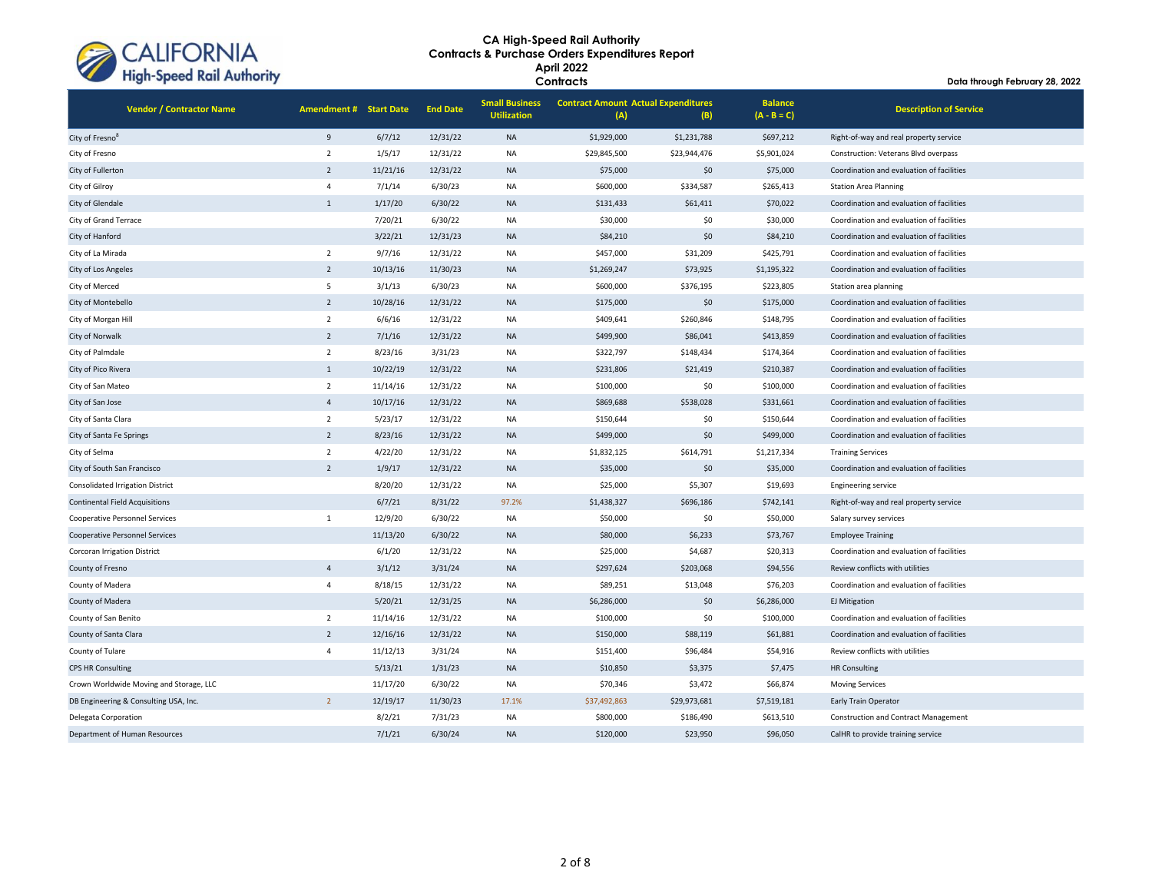

**Contracts**

| <b>Vendor / Contractor Name</b>         | <b>Amendment # Start Date</b> |          | <b>End Date</b> | <b>Small Business</b><br><b>Utilization</b> | <b>Contract Amount Actual Expenditures</b><br>(A) | (B)          | <b>Balance</b><br>$(A - B = C)$ | <b>Description of Service</b>               |
|-----------------------------------------|-------------------------------|----------|-----------------|---------------------------------------------|---------------------------------------------------|--------------|---------------------------------|---------------------------------------------|
| City of Fresno <sup>8</sup>             | 9                             | 6/7/12   | 12/31/22        | <b>NA</b>                                   | \$1,929,000                                       | \$1,231,788  | \$697,212                       | Right-of-way and real property service      |
| City of Fresno                          | $\overline{2}$                | 1/5/17   | 12/31/22        | <b>NA</b>                                   | \$29,845,500                                      | \$23,944,476 | \$5,901,024                     | Construction: Veterans Blvd overpass        |
| City of Fullerton                       | $\overline{2}$                | 11/21/16 | 12/31/22        | <b>NA</b>                                   | \$75,000                                          | \$0          | \$75,000                        | Coordination and evaluation of facilities   |
| City of Gilroy                          | $\overline{4}$                | 7/1/14   | 6/30/23         | NA                                          | \$600,000                                         | \$334,587    | \$265,413                       | <b>Station Area Planning</b>                |
| City of Glendale                        | $\mathbf{1}$                  | 1/17/20  | 6/30/22         | <b>NA</b>                                   | \$131,433                                         | \$61,411     | \$70,022                        | Coordination and evaluation of facilities   |
| City of Grand Terrace                   |                               | 7/20/21  | 6/30/22         | <b>NA</b>                                   | \$30,000                                          | \$0          | \$30,000                        | Coordination and evaluation of facilities   |
| City of Hanford                         |                               | 3/22/21  | 12/31/23        | <b>NA</b>                                   | \$84,210                                          | \$0          | \$84,210                        | Coordination and evaluation of facilities   |
| City of La Mirada                       | $\overline{2}$                | 9/7/16   | 12/31/22        | <b>NA</b>                                   | \$457,000                                         | \$31,209     | \$425,791                       | Coordination and evaluation of facilities   |
| City of Los Angeles                     | $\overline{2}$                | 10/13/16 | 11/30/23        | <b>NA</b>                                   | \$1,269,247                                       | \$73,925     | \$1,195,322                     | Coordination and evaluation of facilities   |
| City of Merced                          | 5                             | 3/1/13   | 6/30/23         | <b>NA</b>                                   | \$600,000                                         | \$376,195    | \$223,805                       | Station area planning                       |
| City of Montebello                      | $\overline{2}$                | 10/28/16 | 12/31/22        | <b>NA</b>                                   | \$175,000                                         | \$0          | \$175,000                       | Coordination and evaluation of facilities   |
| City of Morgan Hill                     | $\overline{2}$                | 6/6/16   | 12/31/22        | <b>NA</b>                                   | \$409,641                                         | \$260,846    | \$148,795                       | Coordination and evaluation of facilities   |
| City of Norwalk                         | $\overline{2}$                | 7/1/16   | 12/31/22        | <b>NA</b>                                   | \$499,900                                         | \$86,041     | \$413,859                       | Coordination and evaluation of facilities   |
| City of Palmdale                        | $\overline{2}$                | 8/23/16  | 3/31/23         | <b>NA</b>                                   | \$322,797                                         | \$148,434    | \$174,364                       | Coordination and evaluation of facilities   |
| City of Pico Rivera                     | $\mathbf{1}$                  | 10/22/19 | 12/31/22        | <b>NA</b>                                   | \$231,806                                         | \$21,419     | \$210,387                       | Coordination and evaluation of facilities   |
| City of San Mateo                       | $\overline{2}$                | 11/14/16 | 12/31/22        | <b>NA</b>                                   | \$100,000                                         | \$0          | \$100,000                       | Coordination and evaluation of facilities   |
| City of San Jose                        | $\overline{4}$                | 10/17/16 | 12/31/22        | <b>NA</b>                                   | \$869,688                                         | \$538,028    | \$331,661                       | Coordination and evaluation of facilities   |
| City of Santa Clara                     | $\overline{2}$                | 5/23/17  | 12/31/22        | <b>NA</b>                                   | \$150,644                                         | \$0          | \$150,644                       | Coordination and evaluation of facilities   |
| City of Santa Fe Springs                | $\overline{2}$                | 8/23/16  | 12/31/22        | <b>NA</b>                                   | \$499,000                                         | \$0          | \$499,000                       | Coordination and evaluation of facilities   |
| City of Selma                           | $\overline{2}$                | 4/22/20  | 12/31/22        | <b>NA</b>                                   | \$1,832,125                                       | \$614,791    | \$1,217,334                     | <b>Training Services</b>                    |
| City of South San Francisco             | $\overline{2}$                | 1/9/17   | 12/31/22        | <b>NA</b>                                   | \$35,000                                          | \$0          | \$35,000                        | Coordination and evaluation of facilities   |
| <b>Consolidated Irrigation District</b> |                               | 8/20/20  | 12/31/22        | <b>NA</b>                                   | \$25,000                                          | \$5,307      | \$19,693                        | <b>Engineering service</b>                  |
| <b>Continental Field Acquisitions</b>   |                               | 6/7/21   | 8/31/22         | 97.2%                                       | \$1,438,327                                       | \$696,186    | \$742,141                       | Right-of-way and real property service      |
| <b>Cooperative Personnel Services</b>   | $\mathbf{1}$                  | 12/9/20  | 6/30/22         | <b>NA</b>                                   | \$50,000                                          | \$0          | \$50,000                        | Salary survey services                      |
| <b>Cooperative Personnel Services</b>   |                               | 11/13/20 | 6/30/22         | <b>NA</b>                                   | \$80,000                                          | \$6,233      | \$73,767                        | <b>Employee Training</b>                    |
| <b>Corcoran Irrigation District</b>     |                               | 6/1/20   | 12/31/22        | <b>NA</b>                                   | \$25,000                                          | \$4,687      | \$20,313                        | Coordination and evaluation of facilities   |
| County of Fresno                        | $\overline{4}$                | 3/1/12   | 3/31/24         | <b>NA</b>                                   | \$297,624                                         | \$203,068    | \$94,556                        | Review conflicts with utilities             |
| County of Madera                        | $\overline{4}$                | 8/18/15  | 12/31/22        | <b>NA</b>                                   | \$89,251                                          | \$13,048     | \$76,203                        | Coordination and evaluation of facilities   |
| County of Madera                        |                               | 5/20/21  | 12/31/25        | <b>NA</b>                                   | \$6,286,000                                       | \$0          | \$6,286,000                     | <b>EJ Mitigation</b>                        |
| County of San Benito                    | $\overline{2}$                | 11/14/16 | 12/31/22        | <b>NA</b>                                   | \$100,000                                         | \$0          | \$100,000                       | Coordination and evaluation of facilities   |
| County of Santa Clara                   | $\overline{2}$                | 12/16/16 | 12/31/22        | <b>NA</b>                                   | \$150,000                                         | \$88,119     | \$61,881                        | Coordination and evaluation of facilities   |
| County of Tulare                        | $\overline{4}$                | 11/12/13 | 3/31/24         | <b>NA</b>                                   | \$151,400                                         | \$96,484     | \$54,916                        | Review conflicts with utilities             |
| <b>CPS HR Consulting</b>                |                               | 5/13/21  | 1/31/23         | <b>NA</b>                                   | \$10,850                                          | \$3,375      | \$7,475                         | <b>HR Consulting</b>                        |
| Crown Worldwide Moving and Storage, LLC |                               | 11/17/20 | 6/30/22         | <b>NA</b>                                   | \$70,346                                          | \$3,472      | \$66,874                        | <b>Moving Services</b>                      |
| DB Engineering & Consulting USA, Inc.   | $\overline{2}$                | 12/19/17 | 11/30/23        | 17.1%                                       | \$37,492,863                                      | \$29,973,681 | \$7,519,181                     | Early Train Operator                        |
| Delegata Corporation                    |                               | 8/2/21   | 7/31/23         | <b>NA</b>                                   | \$800,000                                         | \$186,490    | \$613,510                       | <b>Construction and Contract Management</b> |
| Department of Human Resources           |                               | 7/1/21   | 6/30/24         | <b>NA</b>                                   | \$120,000                                         | \$23,950     | \$96,050                        | CalHR to provide training service           |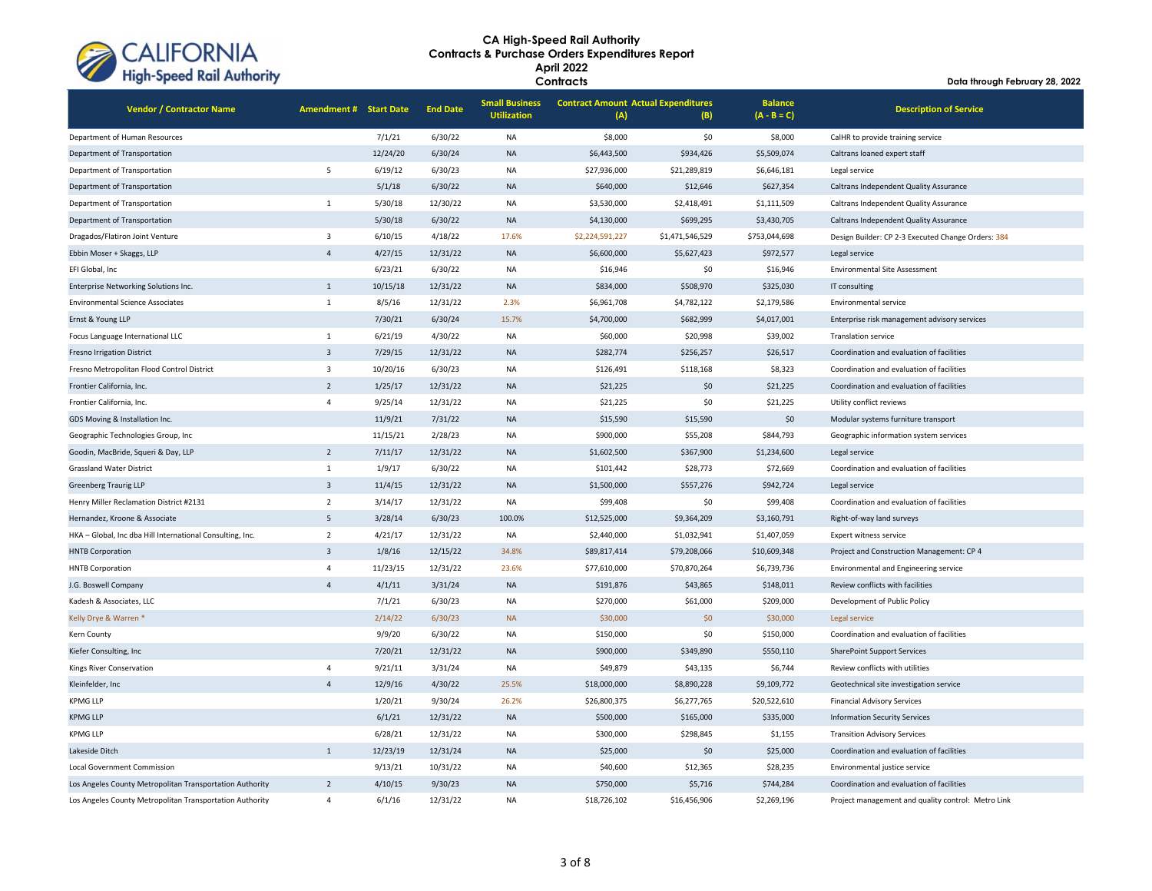

| <b>Vendor / Contractor Name</b>                           | <b>Amendment # Start Date</b> |          | <b>End Date</b> | <b>Small Business</b><br><b>Utilization</b> | <b>Contract Amount Actual Expenditures</b><br>(A) | (B)             | <b>Balance</b><br>$(A - B = C)$ | <b>Description of Service</b>                      |
|-----------------------------------------------------------|-------------------------------|----------|-----------------|---------------------------------------------|---------------------------------------------------|-----------------|---------------------------------|----------------------------------------------------|
| Department of Human Resources                             |                               | 7/1/21   | 6/30/22         | NA                                          | \$8,000                                           | \$0             | \$8,000                         | CalHR to provide training service                  |
| Department of Transportation                              |                               | 12/24/20 | 6/30/24         | <b>NA</b>                                   | \$6,443,500                                       | \$934,426       | \$5,509,074                     | Caltrans loaned expert staff                       |
| Department of Transportation                              | $\overline{\phantom{a}}$      | 6/19/12  | 6/30/23         | NA                                          | \$27,936,000                                      | \$21,289,819    | \$6,646,181                     | Legal service                                      |
| Department of Transportation                              |                               | 5/1/18   | 6/30/22         | <b>NA</b>                                   | \$640,000                                         | \$12,646        | \$627,354                       | Caltrans Independent Quality Assurance             |
| Department of Transportation                              | $\mathbf 1$                   | 5/30/18  | 12/30/22        | NA                                          | \$3,530,000                                       | \$2,418,491     | \$1,111,509                     | Caltrans Independent Quality Assurance             |
| Department of Transportation                              |                               | 5/30/18  | 6/30/22         | <b>NA</b>                                   | \$4,130,000                                       | \$699,295       | \$3,430,705                     | Caltrans Independent Quality Assurance             |
| Dragados/Flatiron Joint Venture                           | $\overline{3}$                | 6/10/15  | 4/18/22         | 17.6%                                       | \$2,224,591,227                                   | \$1,471,546,529 | \$753,044,698                   | Design Builder: CP 2-3 Executed Change Orders: 384 |
| Ebbin Moser + Skaggs, LLP                                 | $\overline{4}$                | 4/27/15  | 12/31/22        | <b>NA</b>                                   | \$6,600,000                                       | \$5,627,423     | \$972,577                       | Legal service                                      |
| EFI Global, Inc                                           |                               | 6/23/21  | 6/30/22         | <b>NA</b>                                   | \$16,946                                          | \$0             | \$16,946                        | <b>Environmental Site Assessment</b>               |
| Enterprise Networking Solutions Inc.                      | $\mathbf{1}$                  | 10/15/18 | 12/31/22        | <b>NA</b>                                   | \$834,000                                         | \$508,970       | \$325,030                       | IT consulting                                      |
| <b>Environmental Science Associates</b>                   | $\mathbf{1}$                  | 8/5/16   | 12/31/22        | 2.3%                                        | \$6,961,708                                       | \$4,782,122     | \$2,179,586                     | Environmental service                              |
| Ernst & Young LLP                                         |                               | 7/30/21  | 6/30/24         | 15.7%                                       | \$4,700,000                                       | \$682,999       | \$4,017,001                     | Enterprise risk management advisory services       |
| Focus Language International LLC                          | $\mathbf{1}$                  | 6/21/19  | 4/30/22         | <b>NA</b>                                   | \$60,000                                          | \$20,998        | \$39,002                        | <b>Translation service</b>                         |
| <b>Fresno Irrigation District</b>                         | $\overline{3}$                | 7/29/15  | 12/31/22        | <b>NA</b>                                   | \$282,774                                         | \$256,257       | \$26,517                        | Coordination and evaluation of facilities          |
| Fresno Metropolitan Flood Control District                | $\overline{3}$                | 10/20/16 | 6/30/23         | NA                                          | \$126,491                                         | \$118,168       | \$8,323                         | Coordination and evaluation of facilities          |
| Frontier California, Inc.                                 | $\overline{2}$                | 1/25/17  | 12/31/22        | <b>NA</b>                                   | \$21,225                                          | \$0             | \$21,225                        | Coordination and evaluation of facilities          |
| Frontier California, Inc.                                 | $\overline{4}$                | 9/25/14  | 12/31/22        | NA                                          | \$21,225                                          | \$0<br>\$21,225 |                                 | Utility conflict reviews                           |
| GDS Moving & Installation Inc.                            |                               | 11/9/21  | 7/31/22         | <b>NA</b>                                   | \$15,590                                          | \$15,590        | \$0                             | Modular systems furniture transport                |
| Geographic Technologies Group, Inc                        |                               | 11/15/21 | 2/28/23         | NA                                          | \$900,000                                         | \$55,208        | \$844,793                       | Geographic information system services             |
| Goodin, MacBride, Squeri & Day, LLP                       | $\overline{2}$                | 7/11/17  | 12/31/22        | <b>NA</b>                                   | \$1,602,500                                       | \$367,900       | \$1,234,600                     | Legal service                                      |
| <b>Grassland Water District</b>                           | 1                             | 1/9/17   | 6/30/22         | NA                                          | \$101,442                                         | \$28,773        | \$72,669                        | Coordination and evaluation of facilities          |
| Greenberg Traurig LLP                                     | $\overline{\mathbf{3}}$       | 11/4/15  | 12/31/22        | <b>NA</b>                                   | \$1,500,000                                       | \$557,276       | \$942,724                       | Legal service                                      |
| Henry Miller Reclamation District #2131                   | $\overline{2}$                | 3/14/17  | 12/31/22        | <b>NA</b>                                   | \$99,408                                          | \$0             | \$99,408                        | Coordination and evaluation of facilities          |
| Hernandez, Kroone & Associate                             | 5                             | 3/28/14  | 6/30/23         | 100.0%                                      | \$12,525,000                                      | \$9,364,209     | \$3,160,791                     | Right-of-way land surveys                          |
| HKA - Global, Inc dba Hill International Consulting, Inc. | $\overline{2}$                | 4/21/17  | 12/31/22        | <b>NA</b>                                   | \$2,440,000                                       | \$1,032,941     | \$1,407,059                     | Expert witness service                             |
| <b>HNTB Corporation</b>                                   | $\overline{3}$                | 1/8/16   | 12/15/22        | 34.8%                                       | \$89,817,414                                      | \$79,208,066    | \$10,609,348                    | Project and Construction Management: CP 4          |
| <b>HNTB Corporation</b>                                   | $\overline{4}$                | 11/23/15 | 12/31/22        | 23.6%                                       | \$77,610,000                                      | \$70,870,264    | \$6,739,736                     | Environmental and Engineering service              |
| J.G. Boswell Company                                      | $\overline{a}$                | 4/1/11   | 3/31/24         | <b>NA</b>                                   | \$191,876                                         | \$43,865        | \$148,011                       | Review conflicts with facilities                   |
| Kadesh & Associates, LLC                                  |                               | 7/1/21   | 6/30/23         | <b>NA</b>                                   | \$270,000                                         | \$61,000        | \$209,000                       | Development of Public Policy                       |
| Kelly Drye & Warren *                                     |                               | 2/14/22  | 6/30/23         | <b>NA</b>                                   | \$30,000                                          | \$0             | \$30,000                        | Legal service                                      |
| Kern County                                               |                               | 9/9/20   | 6/30/22         | <b>NA</b>                                   | \$150,000                                         | \$0             | \$150,000                       | Coordination and evaluation of facilities          |
| Kiefer Consulting, Inc                                    |                               | 7/20/21  | 12/31/22        | <b>NA</b>                                   | \$900,000                                         | \$349,890       | \$550,110                       | <b>SharePoint Support Services</b>                 |
| Kings River Conservation                                  | $\overline{4}$                | 9/21/11  | 3/31/24         | NA                                          | \$49,879                                          | \$43,135        | \$6,744                         | Review conflicts with utilities                    |
| Kleinfelder, Inc                                          | $\Delta$                      | 12/9/16  | 4/30/22         | 25.5%                                       | \$18,000,000                                      | \$8,890,228     | \$9,109,772                     | Geotechnical site investigation service            |
| <b>KPMG LLP</b>                                           |                               | 1/20/21  | 9/30/24         | 26.2%                                       | \$26,800,375                                      | \$6,277,765     | \$20,522,610                    | <b>Financial Advisory Services</b>                 |
| <b>KPMG LLP</b>                                           |                               | 6/1/21   | 12/31/22        | <b>NA</b>                                   | \$500,000                                         | \$165,000       | \$335,000                       | <b>Information Security Services</b>               |
| <b>KPMG LLP</b>                                           |                               | 6/28/21  | 12/31/22        | NA                                          | \$300,000                                         | \$298,845       | \$1,155                         | <b>Transition Advisory Services</b>                |
| Lakeside Ditch                                            | $\mathbf{1}$                  | 12/23/19 | 12/31/24        | <b>NA</b>                                   | \$25,000                                          | \$0             | \$25,000                        | Coordination and evaluation of facilities          |
| <b>Local Government Commission</b>                        |                               | 9/13/21  | 10/31/22        | <b>NA</b>                                   | \$40,600                                          | \$12,365        | \$28,235                        | Environmental justice service                      |
| Los Angeles County Metropolitan Transportation Authority  | $\overline{2}$                | 4/10/15  | 9/30/23         | <b>NA</b>                                   | \$750,000                                         | \$5,716         | \$744,284                       | Coordination and evaluation of facilities          |
| Los Angeles County Metropolitan Transportation Authority  | $\Delta$                      | 6/1/16   | 12/31/22        | <b>NA</b>                                   | \$18,726.102                                      | \$16,456,906    | \$2.269.196                     | Project management and quality control: Metro Link |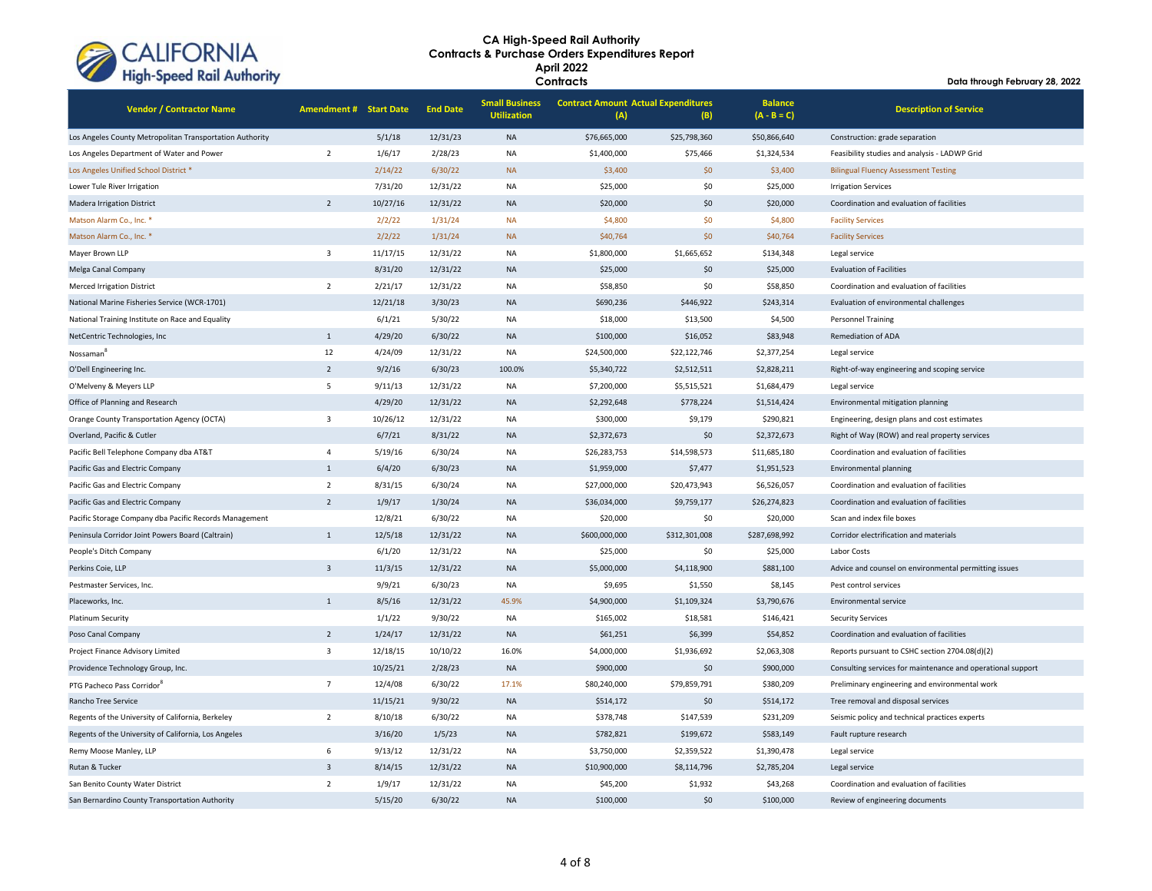

| <b>Vendor / Contractor Name</b>                          | <b>Amendment # Start Date</b> |          | <b>End Date</b> | <b>Small Business</b><br><b>Utilization</b> | <b>Contract Amount Actual Expenditures</b><br>(A) | (B)           | <b>Balance</b><br>$(A - B = C)$ | <b>Description of Service</b>                               |
|----------------------------------------------------------|-------------------------------|----------|-----------------|---------------------------------------------|---------------------------------------------------|---------------|---------------------------------|-------------------------------------------------------------|
| Los Angeles County Metropolitan Transportation Authority |                               | 5/1/18   | 12/31/23        | <b>NA</b>                                   | \$76,665,000                                      | \$25,798,360  | \$50,866,640                    | Construction: grade separation                              |
| Los Angeles Department of Water and Power                | $\overline{2}$                | 1/6/17   | 2/28/23         | <b>NA</b>                                   | \$1,400,000                                       | \$75,466      | \$1,324,534                     | Feasibility studies and analysis - LADWP Grid               |
| Los Angeles Unified School District *                    |                               | 2/14/22  | 6/30/22         | <b>NA</b>                                   | \$3,400                                           | \$0           | \$3,400                         | <b>Bilingual Fluency Assessment Testing</b>                 |
| Lower Tule River Irrigation                              |                               | 7/31/20  | 12/31/22        | <b>NA</b>                                   | \$25,000                                          | \$0           | \$25,000                        | <b>Irrigation Services</b>                                  |
| <b>Madera Irrigation District</b>                        | $\overline{2}$                | 10/27/16 | 12/31/22        | <b>NA</b>                                   | \$20,000                                          | \$0           | \$20,000                        | Coordination and evaluation of facilities                   |
| Matson Alarm Co., Inc. *                                 |                               | 2/2/22   | 1/31/24         | <b>NA</b>                                   | \$4,800                                           | \$0           | \$4,800                         | <b>Facility Services</b>                                    |
| Matson Alarm Co., Inc. *                                 |                               | 2/2/22   | 1/31/24         | <b>NA</b>                                   | \$40,764                                          | \$0           | \$40,764                        | <b>Facility Services</b>                                    |
| Mayer Brown LLP                                          | $\overline{3}$                | 11/17/15 | 12/31/22        | <b>NA</b>                                   | \$1,800,000                                       | \$1,665,652   | \$134,348                       | Legal service                                               |
| Melga Canal Company                                      |                               | 8/31/20  | 12/31/22        | <b>NA</b>                                   | \$25,000                                          | \$0           | \$25,000                        | <b>Evaluation of Facilities</b>                             |
| <b>Merced Irrigation District</b>                        | $\overline{2}$                | 2/21/17  | 12/31/22        | <b>NA</b>                                   | \$58,850                                          | \$0           | \$58,850                        | Coordination and evaluation of facilities                   |
| National Marine Fisheries Service (WCR-1701)             |                               | 12/21/18 | 3/30/23         | <b>NA</b>                                   | \$690,236                                         | \$446,922     | \$243,314                       | Evaluation of environmental challenges                      |
| National Training Institute on Race and Equality         |                               | 6/1/21   | 5/30/22         | <b>NA</b>                                   | \$18,000                                          | \$13,500      | \$4,500                         | <b>Personnel Training</b>                                   |
| NetCentric Technologies, Inc                             | $\mathbf{1}$                  | 4/29/20  | 6/30/22         | <b>NA</b>                                   | \$100,000                                         | \$16,052      | \$83,948                        | Remediation of ADA                                          |
| Nossaman <sup>8</sup>                                    | 12                            | 4/24/09  | 12/31/22        | <b>NA</b>                                   | \$24,500,000                                      | \$22,122,746  | \$2,377,254                     | Legal service                                               |
| O'Dell Engineering Inc.                                  | $\overline{2}$                | 9/2/16   | 6/30/23         | 100.0%                                      | \$5,340,722                                       | \$2,512,511   | \$2,828,211                     | Right-of-way engineering and scoping service                |
| O'Melveny & Meyers LLP                                   | 5                             | 9/11/13  | 12/31/22        | <b>NA</b>                                   | \$7,200,000                                       | \$5,515,521   | \$1,684,479                     | Legal service                                               |
| Office of Planning and Research                          |                               | 4/29/20  | 12/31/22        | <b>NA</b>                                   | \$2,292,648                                       | \$778,224     | \$1,514,424                     | Environmental mitigation planning                           |
| Orange County Transportation Agency (OCTA)               | $\overline{\mathbf{3}}$       | 10/26/12 | 12/31/22        | <b>NA</b>                                   | \$300,000                                         | \$9,179       | \$290,821                       | Engineering, design plans and cost estimates                |
| Overland, Pacific & Cutler                               |                               | 6/7/21   | 8/31/22         | <b>NA</b>                                   | \$2,372,673                                       | \$0           | \$2,372,673                     | Right of Way (ROW) and real property services               |
| Pacific Bell Telephone Company dba AT&T                  | $\overline{4}$                | 5/19/16  | 6/30/24         | <b>NA</b>                                   | \$26,283,753                                      | \$14,598,573  | \$11,685,180                    | Coordination and evaluation of facilities                   |
| Pacific Gas and Electric Company                         | $\mathbf{1}$                  | 6/4/20   | 6/30/23         | <b>NA</b>                                   | \$1,959,000                                       | \$7,477       | \$1,951,523                     | Environmental planning                                      |
| Pacific Gas and Electric Company                         | $\overline{2}$                | 8/31/15  | 6/30/24         | <b>NA</b>                                   | \$27,000,000                                      | \$20,473,943  | \$6,526,057                     | Coordination and evaluation of facilities                   |
| Pacific Gas and Electric Company                         | $\overline{2}$                | 1/9/17   | 1/30/24         | <b>NA</b>                                   | \$36,034,000                                      | \$9,759,177   | \$26,274,823                    | Coordination and evaluation of facilities                   |
| Pacific Storage Company dba Pacific Records Management   |                               | 12/8/21  | 6/30/22         | <b>NA</b>                                   | \$20,000                                          | \$0           | \$20,000                        | Scan and index file boxes                                   |
| Peninsula Corridor Joint Powers Board (Caltrain)         | $\mathbf{1}$                  | 12/5/18  | 12/31/22        | <b>NA</b>                                   | \$600,000,000                                     | \$312,301,008 | \$287,698,992                   | Corridor electrification and materials                      |
| People's Ditch Company                                   |                               | 6/1/20   | 12/31/22        | <b>NA</b>                                   | \$25,000                                          | \$0           | \$25,000                        | Labor Costs                                                 |
| Perkins Coie, LLP                                        | $\overline{3}$                | 11/3/15  | 12/31/22        | <b>NA</b>                                   | \$5,000,000                                       | \$4,118,900   | \$881,100                       | Advice and counsel on environmental permitting issues       |
| Pestmaster Services, Inc.                                |                               | 9/9/21   | 6/30/23         | <b>NA</b>                                   | \$9,695                                           | \$1,550       | \$8,145                         | Pest control services                                       |
| Placeworks, Inc.                                         | $\mathbf{1}$                  | 8/5/16   | 12/31/22        | 45.9%                                       | \$4,900,000                                       | \$1,109,324   | \$3,790,676                     | Environmental service                                       |
| Platinum Security                                        |                               | 1/1/22   | 9/30/22         | <b>NA</b>                                   | \$165,002                                         | \$18,581      | \$146,421                       | <b>Security Services</b>                                    |
| Poso Canal Company                                       | $\overline{2}$                | 1/24/17  | 12/31/22        | <b>NA</b>                                   | \$61,251                                          | \$6,399       | \$54,852                        | Coordination and evaluation of facilities                   |
| Project Finance Advisory Limited                         | $\overline{\mathbf{3}}$       | 12/18/15 | 10/10/22        | 16.0%                                       | \$4,000,000                                       | \$1,936,692   | \$2,063,308                     | Reports pursuant to CSHC section 2704.08(d)(2)              |
| Providence Technology Group, Inc.                        |                               | 10/25/21 | 2/28/23         | <b>NA</b>                                   | \$900,000                                         | \$0           | \$900,000                       | Consulting services for maintenance and operational support |
| PTG Pacheco Pass Corridor <sup>8</sup>                   | $\overline{7}$                | 12/4/08  | 6/30/22         | 17.1%                                       | \$80,240,000                                      | \$79,859,791  | \$380,209                       | Preliminary engineering and environmental work              |
| Rancho Tree Service                                      |                               | 11/15/21 | 9/30/22         | <b>NA</b>                                   | \$514,172                                         | \$0           | \$514,172                       | Tree removal and disposal services                          |
| Regents of the University of California, Berkeley        | $\overline{2}$                | 8/10/18  | 6/30/22         | <b>NA</b>                                   | \$378,748                                         | \$147,539     | \$231,209                       | Seismic policy and technical practices experts              |
| Regents of the University of California, Los Angeles     |                               | 3/16/20  | 1/5/23          | <b>NA</b>                                   | \$782,821                                         | \$199,672     | \$583,149                       | Fault rupture research                                      |
| Remy Moose Manley, LLP                                   | 6                             | 9/13/12  | 12/31/22        | <b>NA</b>                                   | \$3,750,000                                       | \$2,359,522   | \$1,390,478                     | Legal service                                               |
| Rutan & Tucker                                           | $\overline{3}$                | 8/14/15  | 12/31/22        | <b>NA</b>                                   | \$10,900,000                                      | \$8,114,796   | \$2,785,204                     | Legal service                                               |
| San Benito County Water District                         | $\overline{2}$                | 1/9/17   | 12/31/22        | <b>NA</b>                                   | \$45,200                                          | \$1,932       | \$43,268                        | Coordination and evaluation of facilities                   |
| San Bernardino County Transportation Authority           |                               | 5/15/20  | 6/30/22         | <b>NA</b>                                   | \$100,000                                         | \$0           | \$100,000                       | Review of engineering documents                             |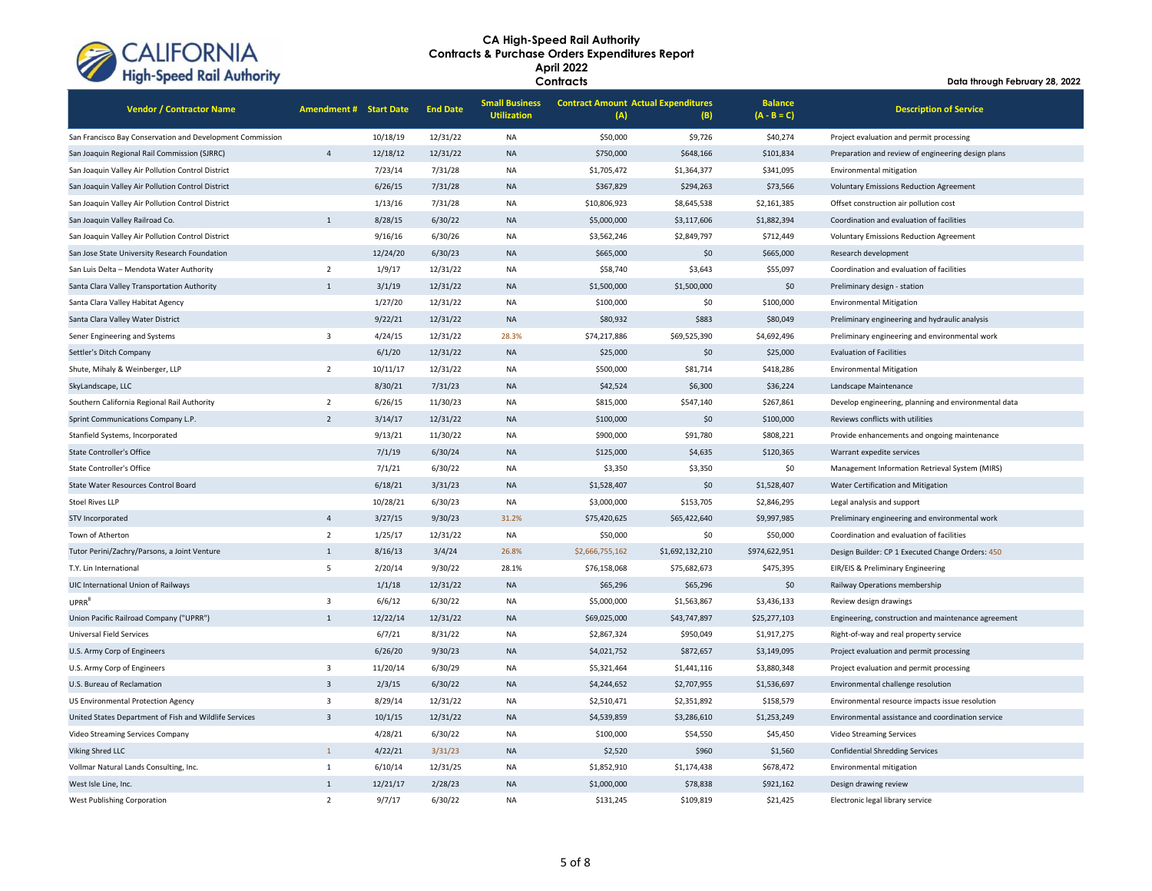

| <b>Vendor / Contractor Name</b>                           | <b>Amendment # Start Date</b> |          | <b>End Date</b> | <b>Small Business</b><br><b>Utilization</b> | <b>Contract Amount Actual Expenditures</b><br>(A) | (B)             | <b>Balance</b><br>$(A - B = C)$ | <b>Description of Service</b>                        |
|-----------------------------------------------------------|-------------------------------|----------|-----------------|---------------------------------------------|---------------------------------------------------|-----------------|---------------------------------|------------------------------------------------------|
| San Francisco Bay Conservation and Development Commission |                               | 10/18/19 | 12/31/22        | <b>NA</b>                                   | \$50,000                                          | \$9,726         | \$40,274                        | Project evaluation and permit processing             |
| San Joaquin Regional Rail Commission (SJRRC)              | $\overline{4}$                | 12/18/12 | 12/31/22        | <b>NA</b>                                   | \$750,000                                         | \$648,166       | \$101,834                       | Preparation and review of engineering design plans   |
| San Joaquin Valley Air Pollution Control District         |                               | 7/23/14  | 7/31/28         | <b>NA</b>                                   | \$1,705,472                                       | \$1,364,377     | \$341,095                       | Environmental mitigation                             |
| San Joaquin Valley Air Pollution Control District         |                               | 6/26/15  | 7/31/28         | <b>NA</b>                                   | \$367,829                                         | \$294,263       | \$73,566                        | <b>Voluntary Emissions Reduction Agreement</b>       |
| San Joaquin Valley Air Pollution Control District         |                               | 1/13/16  | 7/31/28         | <b>NA</b>                                   | \$10,806,923                                      | \$8,645,538     | \$2,161,385                     | Offset construction air pollution cost               |
| San Joaquin Valley Railroad Co.                           | $\mathbf{1}$                  | 8/28/15  | 6/30/22         | <b>NA</b>                                   | \$5,000,000                                       | \$3,117,606     | \$1,882,394                     | Coordination and evaluation of facilities            |
| San Joaquin Valley Air Pollution Control District         |                               | 9/16/16  | 6/30/26         | <b>NA</b>                                   | \$3,562,246                                       | \$2,849,797     | \$712,449                       | <b>Voluntary Emissions Reduction Agreement</b>       |
| San Jose State University Research Foundation             |                               | 12/24/20 | 6/30/23         | <b>NA</b>                                   | \$665,000                                         | \$0             | \$665,000                       | Research development                                 |
| San Luis Delta - Mendota Water Authority                  | $\overline{2}$                | 1/9/17   | 12/31/22        | <b>NA</b>                                   | \$58,740                                          | \$3,643         | \$55,097                        | Coordination and evaluation of facilities            |
| Santa Clara Valley Transportation Authority               | $\mathbf{1}$                  | 3/1/19   | 12/31/22        | <b>NA</b>                                   | \$1,500,000                                       | \$1,500,000     | \$0                             | Preliminary design - station                         |
| Santa Clara Valley Habitat Agency                         |                               | 1/27/20  | 12/31/22        | <b>NA</b>                                   | \$100,000                                         | \$0             | \$100,000                       | <b>Environmental Mitigation</b>                      |
| Santa Clara Valley Water District                         |                               | 9/22/21  | 12/31/22        | <b>NA</b>                                   | \$80,932                                          | \$883           | \$80,049                        | Preliminary engineering and hydraulic analysis       |
| Sener Engineering and Systems                             | 3                             | 4/24/15  | 12/31/22        | 28.3%                                       | \$74,217,886                                      | \$69,525,390    | \$4,692,496                     | Preliminary engineering and environmental work       |
| Settler's Ditch Company                                   |                               | 6/1/20   | 12/31/22        | <b>NA</b>                                   | \$25,000                                          | \$0             | \$25,000                        | <b>Evaluation of Facilities</b>                      |
| Shute, Mihaly & Weinberger, LLP                           | $\overline{2}$                | 10/11/17 | 12/31/22        | <b>NA</b>                                   | \$500,000                                         | \$81,714        | \$418,286                       | <b>Environmental Mitigation</b>                      |
| SkyLandscape, LLC                                         |                               | 8/30/21  | 7/31/23         | <b>NA</b>                                   | \$42,524                                          | \$6,300         | \$36,224                        | Landscape Maintenance                                |
| Southern California Regional Rail Authority               | $\overline{2}$                | 6/26/15  | 11/30/23        | <b>NA</b>                                   | \$815,000                                         | \$547,140       | \$267,861                       | Develop engineering, planning and environmental data |
| Sprint Communications Company L.P.                        | $\overline{2}$                | 3/14/17  | 12/31/22        | <b>NA</b>                                   | \$100,000                                         | \$0             | \$100,000                       | Reviews conflicts with utilities                     |
| Stanfield Systems, Incorporated                           |                               | 9/13/21  | 11/30/22        | <b>NA</b>                                   | \$900,000                                         | \$91,780        | \$808,221                       | Provide enhancements and ongoing maintenance         |
| <b>State Controller's Office</b>                          |                               | 7/1/19   | 6/30/24         | <b>NA</b>                                   | \$125,000                                         | \$4,635         | \$120,365                       | Warrant expedite services                            |
| <b>State Controller's Office</b>                          |                               | 7/1/21   | 6/30/22         | <b>NA</b>                                   | \$3,350                                           | \$3,350         | \$0                             | Management Information Retrieval System (MIRS)       |
| State Water Resources Control Board                       |                               | 6/18/21  | 3/31/23         | <b>NA</b>                                   | \$1,528,407                                       | \$0             | \$1,528,407                     | Water Certification and Mitigation                   |
| <b>Stoel Rives LLP</b>                                    |                               | 10/28/21 | 6/30/23         | <b>NA</b>                                   | \$3,000,000                                       | \$153,705       | \$2,846,295                     | Legal analysis and support                           |
| STV Incorporated                                          | $\overline{4}$                | 3/27/15  | 9/30/23         | 31.2%                                       | \$75,420,625                                      | \$65,422,640    | \$9,997,985                     | Preliminary engineering and environmental work       |
| Town of Atherton                                          | $\overline{2}$                | 1/25/17  | 12/31/22        | <b>NA</b>                                   | \$50,000                                          | \$0             | \$50,000                        | Coordination and evaluation of facilities            |
| Tutor Perini/Zachry/Parsons, a Joint Venture              | $\mathbf{1}$                  | 8/16/13  | 3/4/24          | 26.8%                                       | \$2,666,755,162                                   | \$1,692,132,210 | \$974,622,951                   | Design Builder: CP 1 Executed Change Orders: 450     |
| T.Y. Lin International                                    | 5                             | 2/20/14  | 9/30/22         | 28.1%                                       | \$76,158,068                                      | \$75,682,673    | \$475,395                       | EIR/EIS & Preliminary Engineering                    |
| UIC International Union of Railways                       |                               | 1/1/18   | 12/31/22        | <b>NA</b>                                   | \$65,296                                          | \$65,296        | \$0                             | Railway Operations membership                        |
| UPRR <sup>8</sup>                                         | $\overline{3}$                | 6/6/12   | 6/30/22         | <b>NA</b>                                   | \$5,000,000                                       | \$1,563,867     | \$3,436,133                     | Review design drawings                               |
| Union Pacific Railroad Company ("UPRR")                   | $\mathbf{1}$                  | 12/22/14 | 12/31/22        | <b>NA</b>                                   | \$69,025,000                                      | \$43,747,897    | \$25,277,103                    | Engineering, construction and maintenance agreement  |
| <b>Universal Field Services</b>                           |                               | 6/7/21   | 8/31/22         | <b>NA</b>                                   | \$2,867,324                                       | \$950,049       | \$1,917,275                     | Right-of-way and real property service               |
| U.S. Army Corp of Engineers                               |                               | 6/26/20  | 9/30/23         | <b>NA</b>                                   | \$4,021,752                                       | \$872,657       | \$3,149,095                     | Project evaluation and permit processing             |
| U.S. Army Corp of Engineers                               | 3                             | 11/20/14 | 6/30/29         | <b>NA</b>                                   | \$5,321,464                                       | \$1,441,116     | \$3,880,348                     | Project evaluation and permit processing             |
| U.S. Bureau of Reclamation                                | $\overline{3}$                | 2/3/15   | 6/30/22         | <b>NA</b>                                   | \$4,244,652                                       | \$2,707,955     | \$1,536,697                     | Environmental challenge resolution                   |
| <b>US Environmental Protection Agency</b>                 | $\overline{\mathbf{3}}$       | 8/29/14  | 12/31/22        | <b>NA</b>                                   | \$2,510,471                                       | \$2,351,892     | \$158,579                       | Environmental resource impacts issue resolution      |
| United States Department of Fish and Wildlife Services    | $\overline{3}$                | 10/1/15  | 12/31/22        | <b>NA</b>                                   | \$4,539,859                                       | \$3,286,610     | \$1,253,249                     | Environmental assistance and coordination service    |
| Video Streaming Services Company                          |                               | 4/28/21  | 6/30/22         | <b>NA</b>                                   | \$100,000                                         | \$54,550        | \$45,450                        | Video Streaming Services                             |
| Viking Shred LLC                                          | $\mathbf{1}$                  | 4/22/21  | 3/31/23         | <b>NA</b>                                   | \$2,520                                           | \$960           | \$1,560                         | <b>Confidential Shredding Services</b>               |
| Vollmar Natural Lands Consulting, Inc.                    | $\mathbf{1}$                  | 6/10/14  | 12/31/25        | <b>NA</b>                                   | \$1,852,910                                       | \$1,174,438     | \$678,472                       | Environmental mitigation                             |
| West Isle Line, Inc.                                      | $\mathbf{1}$                  | 12/21/17 | 2/28/23         | <b>NA</b>                                   | \$1,000,000                                       | \$78,838        | \$921,162                       | Design drawing review                                |
| West Publishing Corporation                               | $\overline{2}$                | 9/7/17   | 6/30/22         | <b>NA</b>                                   | \$131,245                                         | \$109,819       | \$21,425                        | Electronic legal library service                     |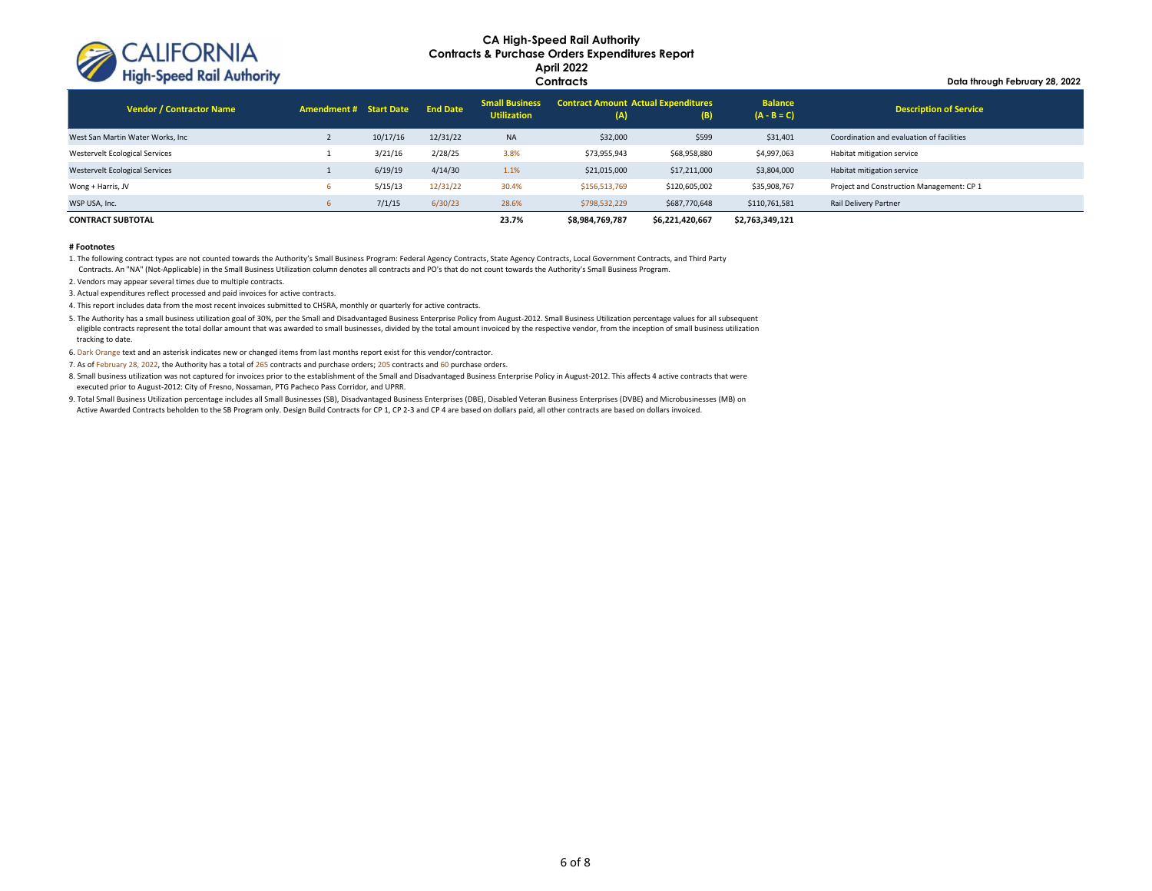

**Data through February 28, 2022**

| <b>Vendor / Contractor Name</b>       | <b>Amendment # Start Date</b> |          | <b>End Date</b> | <b>Small Business</b><br><b>Utilization</b> | <b>Contract Amount Actual Expenditures</b><br>(A) | (B)             | <b>Balance</b><br>$(A - B = C)$ | <b>Description of Service</b>             |
|---------------------------------------|-------------------------------|----------|-----------------|---------------------------------------------|---------------------------------------------------|-----------------|---------------------------------|-------------------------------------------|
| West San Martin Water Works, Inc      |                               | 10/17/16 | 12/31/22        | <b>NA</b>                                   | \$32,000                                          | \$599           | \$31,401                        | Coordination and evaluation of facilities |
| Westervelt Ecological Services        |                               | 3/21/16  | 2/28/25         | 3.8%                                        | \$73,955,943                                      | \$68,958,880    | \$4,997,063                     | Habitat mitigation service                |
| <b>Westervelt Ecological Services</b> |                               | 6/19/19  | 4/14/30         | 1.1%                                        | \$21,015,000                                      | \$17,211,000    | \$3,804,000                     | Habitat mitigation service                |
| Wong + Harris, JV                     |                               | 5/15/13  | 12/31/22        | 30.4%                                       | \$156,513,769                                     | \$120,605,002   | \$35,908,767                    | Project and Construction Management: CP 1 |
| WSP USA, Inc.                         |                               | 7/1/15   | 6/30/23         | 28.6%                                       | \$798,532,229                                     | \$687,770,648   | \$110,761,581                   | Rail Delivery Partner                     |
| <b>CONTRACT SUBTOTAL</b>              |                               |          |                 | 23.7%                                       | \$8,984,769,787                                   | \$6,221,420,667 | \$2,763,349,121                 |                                           |

#### **# Footnotes**

1. The following contract types are not counted towards the Authority's Small Business Program: Federal Agency Contracts, State Agency Contracts, Local Government Contracts, and Third Party Contracts. An "NA" (Not-Applicable) in the Small Business Utilization column denotes all contracts and PO's that do not count towards the Authority's Small Business Program.

2. Vendors may appear several times due to multiple contracts.

3. Actual expenditures reflect processed and paid invoices for active contracts.

4. This report includes data from the most recent invoices submitted to CHSRA, monthly or quarterly for active contracts.

5. The Authority has a small business utilization goal of 30%, per the Small and Disadvantaged Business Enterprise Policy from August-2012. Small Business Utilization percentage values for all subsequent eligible contracts represent the total dollar amount that was awarded to small businesses, divided by the total amount invoiced by the respective vendor, from the inception of small business utilization tracking to date.

6. Dark Orange text and an asterisk indicates new or changed items from last months report exist for this vendor/contractor.

7. As of February 28, 2022, the Authority has a total of 265 contracts and purchase orders; 205 contracts and 60 purchase orders.

8. Small business utilization was not captured for invoices prior to the establishment of the Small and Disadvantaged Business Enterprise Policy in August-2012. This affects 4 active contracts that were executed prior to August-2012: City of Fresno, Nossaman, PTG Pacheco Pass Corridor, and UPRR.

9. Total Small Business Utilization percentage includes all Small Businesses (SB), Disadvantaged Business Enterprises (DBE), Disabled Veteran Business Enterprises (DVBE) and Microbusinesses (MB) on Active Awarded Contracts beholden to the SB Program only. Design Build Contracts for CP 1, CP 2-3 and CP 4 are based on dollars paid, all other contracts are based on dollars invoiced.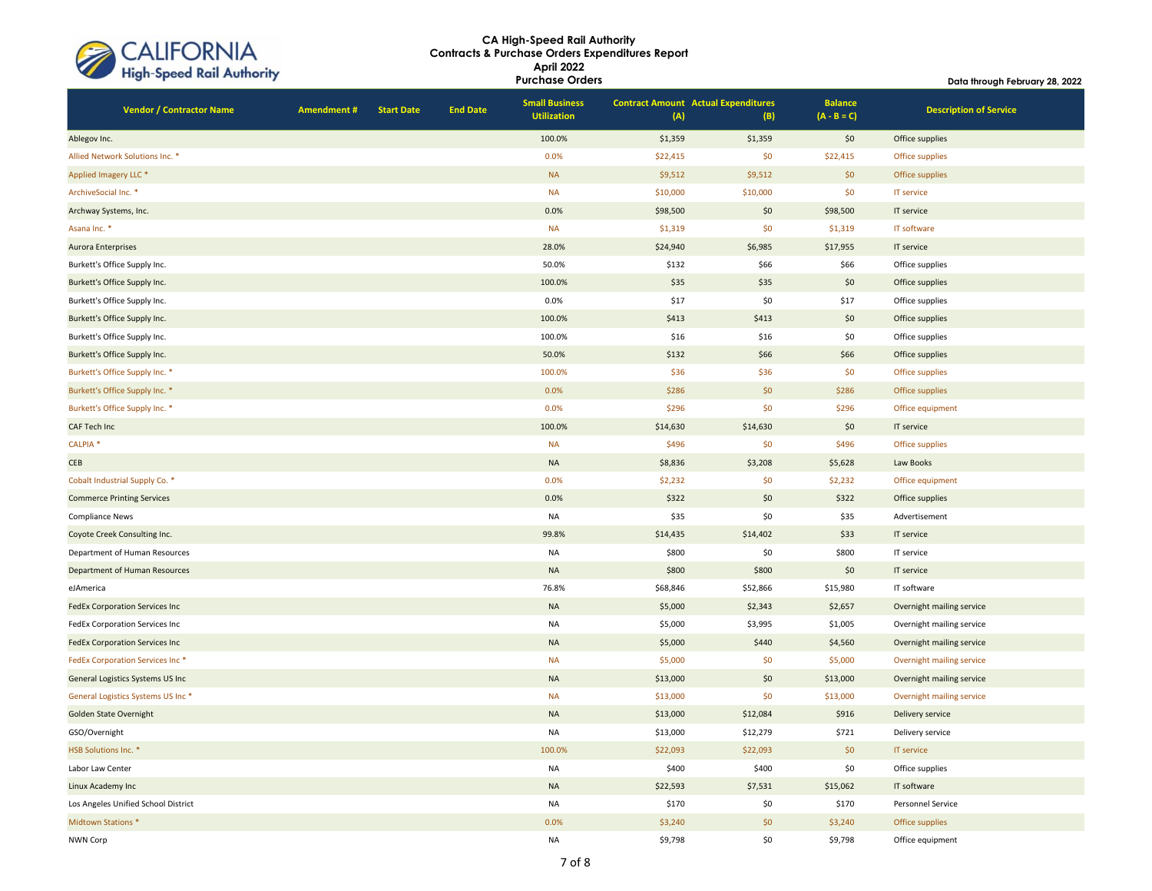| CALIFORNIA<br>High-Speed Rail Authority |
|-----------------------------------------|
|                                         |

| <b>Ingh opeca Kan Abulony</b>    |                                       |            |                   |                 | <b>Purchase Orders</b>                      |                                                   |          | Data through February 28, 2022  |                               |  |  |
|----------------------------------|---------------------------------------|------------|-------------------|-----------------|---------------------------------------------|---------------------------------------------------|----------|---------------------------------|-------------------------------|--|--|
|                                  | <b>Vendor / Contractor Name</b>       | Amendment# | <b>Start Date</b> | <b>End Date</b> | <b>Small Business</b><br><b>Utilization</b> | <b>Contract Amount Actual Expenditures</b><br>(A) | (B)      | <b>Balance</b><br>$(A - B = C)$ | <b>Description of Service</b> |  |  |
| Ablegov Inc.                     |                                       |            |                   |                 | 100.0%                                      | \$1,359                                           | \$1,359  | \$0                             | Office supplies               |  |  |
|                                  | Allied Network Solutions Inc. *       |            |                   |                 | 0.0%                                        | \$22,415                                          | \$0      | \$22,415                        | Office supplies               |  |  |
| Applied Imagery LLC <sup>*</sup> |                                       |            |                   |                 | <b>NA</b>                                   | \$9,512                                           | \$9,512  | \$0                             | Office supplies               |  |  |
| ArchiveSocial Inc. *             |                                       |            |                   |                 | <b>NA</b>                                   | \$10,000                                          | \$10,000 | \$0                             | <b>IT service</b>             |  |  |
| Archway Systems, Inc.            |                                       |            |                   |                 | 0.0%                                        | \$98,500                                          | \$0      | \$98,500                        | IT service                    |  |  |
| Asana Inc. *                     |                                       |            |                   |                 | <b>NA</b>                                   | \$1,319                                           | \$0      | \$1,319                         | IT software                   |  |  |
| Aurora Enterprises               |                                       |            |                   |                 | 28.0%                                       | \$24,940                                          | \$6,985  | \$17,955                        | IT service                    |  |  |
|                                  | Burkett's Office Supply Inc.          |            |                   |                 | 50.0%                                       | \$132                                             | \$66     | \$66                            | Office supplies               |  |  |
|                                  | Burkett's Office Supply Inc.          |            |                   |                 | 100.0%                                      | \$35                                              | \$35     | \$0                             | Office supplies               |  |  |
|                                  | Burkett's Office Supply Inc.          |            |                   |                 | 0.0%                                        | \$17                                              | \$0      | \$17                            | Office supplies               |  |  |
|                                  | Burkett's Office Supply Inc.          |            |                   |                 | 100.0%                                      | \$413                                             | \$413    | \$0                             | Office supplies               |  |  |
|                                  | Burkett's Office Supply Inc.          |            |                   |                 | 100.0%                                      | \$16                                              | \$16     | \$0                             | Office supplies               |  |  |
|                                  | Burkett's Office Supply Inc.          |            |                   |                 | 50.0%                                       | \$132                                             | \$66     | \$66                            | Office supplies               |  |  |
|                                  | Burkett's Office Supply Inc. *        |            |                   |                 | 100.0%                                      | \$36                                              | \$36     | \$0                             | Office supplies               |  |  |
|                                  | Burkett's Office Supply Inc. *        |            |                   |                 | 0.0%                                        | \$286                                             | \$0      | \$286                           | Office supplies               |  |  |
|                                  | Burkett's Office Supply Inc. *        |            |                   |                 | 0.0%                                        | \$296                                             | \$0      | \$296                           | Office equipment              |  |  |
| CAF Tech Inc                     |                                       |            |                   |                 | 100.0%                                      | \$14,630                                          | \$14,630 | \$0                             | IT service                    |  |  |
| <b>CALPIA*</b>                   |                                       |            |                   |                 | <b>NA</b>                                   | \$496                                             | \$0      | \$496                           | Office supplies               |  |  |
| <b>CEB</b>                       |                                       |            |                   |                 | <b>NA</b>                                   | \$8,836                                           | \$3,208  | \$5,628                         | Law Books                     |  |  |
|                                  | Cobalt Industrial Supply Co. *        |            |                   |                 | 0.0%                                        | \$2,232                                           | \$0      | \$2,232                         | Office equipment              |  |  |
|                                  | <b>Commerce Printing Services</b>     |            |                   |                 | 0.0%                                        | \$322                                             | \$0      | \$322                           | Office supplies               |  |  |
| <b>Compliance News</b>           |                                       |            |                   |                 | <b>NA</b>                                   | \$35                                              | \$0      | \$35                            | Advertisement                 |  |  |
|                                  | Coyote Creek Consulting Inc.          |            |                   |                 | 99.8%                                       | \$14,435                                          | \$14,402 | \$33                            | IT service                    |  |  |
|                                  | Department of Human Resources         |            |                   |                 | NA                                          | \$800                                             | \$0      | \$800                           | IT service                    |  |  |
|                                  | Department of Human Resources         |            |                   |                 | <b>NA</b>                                   | \$800                                             | \$800    | \$0                             | IT service                    |  |  |
| eJAmerica                        |                                       |            |                   |                 | 76.8%                                       | \$68,846                                          | \$52,866 | \$15,980                        | IT software                   |  |  |
|                                  | FedEx Corporation Services Inc        |            |                   |                 | <b>NA</b>                                   | \$5,000                                           | \$2,343  | \$2,657                         | Overnight mailing service     |  |  |
|                                  | FedEx Corporation Services Inc        |            |                   |                 | NA                                          | \$5,000                                           | \$3,995  | \$1,005                         | Overnight mailing service     |  |  |
|                                  | <b>FedEx Corporation Services Inc</b> |            |                   |                 | <b>NA</b>                                   | \$5,000                                           | \$440    | \$4,560                         | Overnight mailing service     |  |  |
|                                  | FedEx Corporation Services Inc*       |            |                   |                 | <b>NA</b>                                   | \$5,000                                           | \$0      | \$5,000                         | Overnight mailing service     |  |  |
|                                  | General Logistics Systems US Inc      |            |                   |                 | <b>NA</b>                                   | \$13,000                                          | \$0      | \$13,000                        | Overnight mailing service     |  |  |
|                                  | General Logistics Systems US Inc*     |            |                   |                 | <b>NA</b>                                   | \$13,000                                          | \$0      | \$13,000                        | Overnight mailing service     |  |  |
| <b>Golden State Overnight</b>    |                                       |            |                   |                 | <b>NA</b>                                   | \$13,000                                          | \$12,084 | \$916                           | Delivery service              |  |  |
| GSO/Overnight                    |                                       |            |                   |                 | NA                                          | \$13,000                                          | \$12,279 | \$721                           | Delivery service              |  |  |
| HSB Solutions Inc. *             |                                       |            |                   |                 | 100.0%                                      | \$22,093                                          | \$22,093 | \$0                             | IT service                    |  |  |
| Labor Law Center                 |                                       |            |                   |                 | <b>NA</b>                                   | \$400                                             | \$400    | \$0                             | Office supplies               |  |  |
| Linux Academy Inc                |                                       |            |                   |                 | <b>NA</b>                                   | \$22,593                                          | \$7,531  | \$15,062                        | IT software                   |  |  |
|                                  | Los Angeles Unified School District   |            |                   |                 | <b>NA</b>                                   | \$170                                             | \$0      | \$170                           | Personnel Service             |  |  |
| Midtown Stations *               |                                       |            |                   |                 | 0.0%                                        | \$3,240                                           | \$0      | \$3,240                         | Office supplies               |  |  |
| NWN Corp                         |                                       |            |                   |                 | NA                                          | \$9,798                                           | \$0      | \$9,798                         | Office equipment              |  |  |